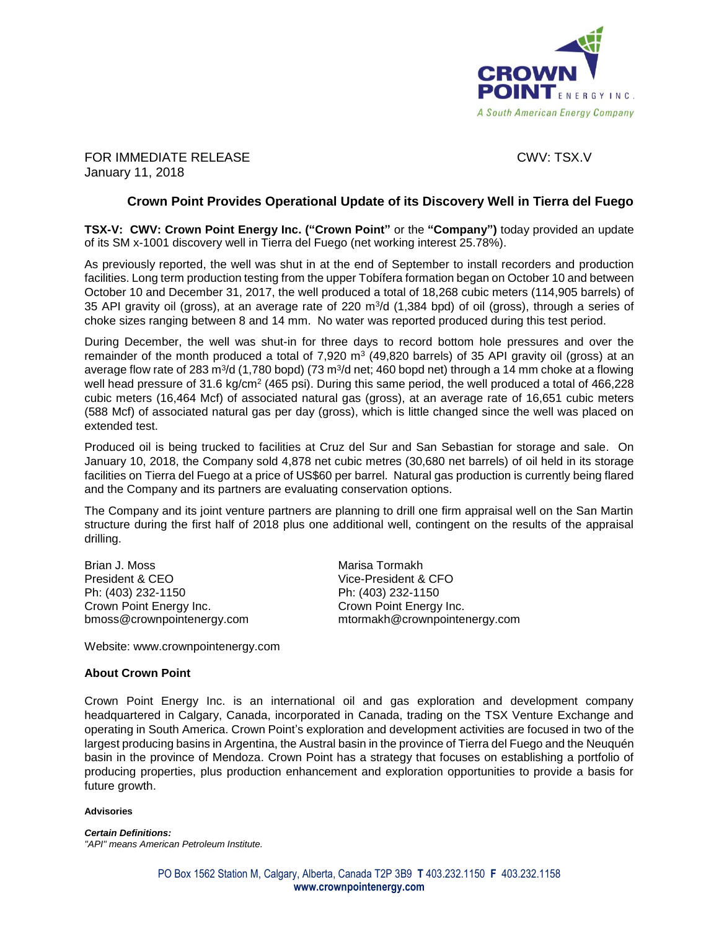

FOR IMMEDIATE RELEASE CWV: TSX.V January 11, 2018

# **Crown Point Provides Operational Update of its Discovery Well in Tierra del Fuego**

**TSX-V: CWV: Crown Point Energy Inc. ("Crown Point"** or the **"Company")** today provided an update of its SM x-1001 discovery well in Tierra del Fuego (net working interest 25.78%).

As previously reported, the well was shut in at the end of September to install recorders and production facilities. Long term production testing from the upper Tobífera formation began on October 10 and between October 10 and December 31, 2017, the well produced a total of 18,268 cubic meters (114,905 barrels) of 35 API gravity oil (gross), at an average rate of 220 m<sup>3</sup>/d (1,384 bpd) of oil (gross), through a series of choke sizes ranging between 8 and 14 mm. No water was reported produced during this test period.

During December, the well was shut-in for three days to record bottom hole pressures and over the remainder of the month produced a total of 7,920 m<sup>3</sup> (49,820 barrels) of 35 API gravity oil (gross) at an average flow rate of 283 m<sup>3</sup>/d (1,780 bopd) (73 m<sup>3</sup>/d net; 460 bopd net) through a 14 mm choke at a flowing well head pressure of 31.6 kg/cm<sup>2</sup> (465 psi). During this same period, the well produced a total of 466,228 cubic meters (16,464 Mcf) of associated natural gas (gross), at an average rate of 16,651 cubic meters (588 Mcf) of associated natural gas per day (gross), which is little changed since the well was placed on extended test.

Produced oil is being trucked to facilities at Cruz del Sur and San Sebastian for storage and sale. On January 10, 2018, the Company sold 4,878 net cubic metres (30,680 net barrels) of oil held in its storage facilities on Tierra del Fuego at a price of US\$60 per barrel. Natural gas production is currently being flared and the Company and its partners are evaluating conservation options.

The Company and its joint venture partners are planning to drill one firm appraisal well on the San Martin structure during the first half of 2018 plus one additional well, contingent on the results of the appraisal drilling.

Brian J. Moss **Marisa Tormakh** President & CEO Vice-President & CFO Ph: (403) 232-1150 Ph: (403) 232-1150 Crown Point Energy Inc. Crown Point Energy Inc.

bmoss@crownpointenergy.com mtormakh@crownpointenergy.com

Website: www.crownpointenergy.com

## **About Crown Point**

Crown Point Energy Inc. is an international oil and gas exploration and development company headquartered in Calgary, Canada, incorporated in Canada, trading on the TSX Venture Exchange and operating in South America. Crown Point's exploration and development activities are focused in two of the largest producing basins in Argentina, the Austral basin in the province of Tierra del Fuego and the Neuquén basin in the province of Mendoza. Crown Point has a strategy that focuses on establishing a portfolio of producing properties, plus production enhancement and exploration opportunities to provide a basis for future growth.

### **Advisories**

*Certain Definitions: "API" means American Petroleum Institute.*